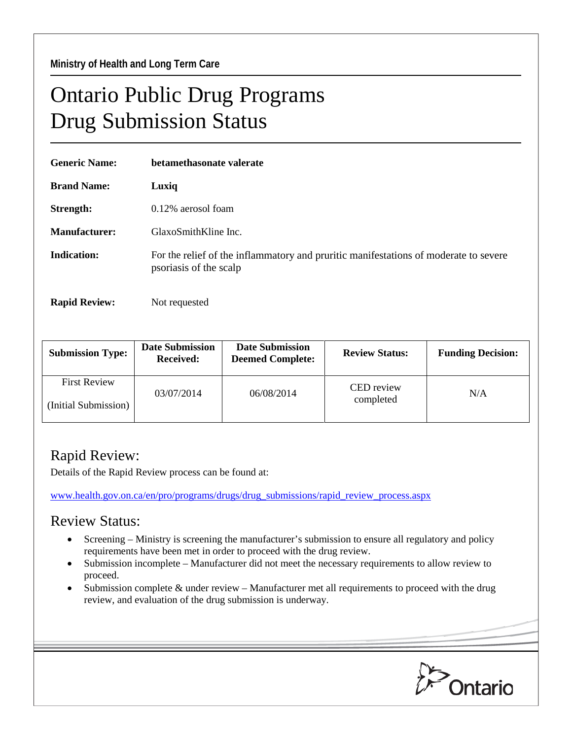## Ontario Public Drug Programs Drug Submission Status

| <b>Generic Name:</b> | betamethasonate valerate                                                                                       |  |  |
|----------------------|----------------------------------------------------------------------------------------------------------------|--|--|
| <b>Brand Name:</b>   | Luxiq                                                                                                          |  |  |
| Strength:            | $0.12\%$ aerosol foam                                                                                          |  |  |
| Manufacturer:        | GlaxoSmithKline Inc.                                                                                           |  |  |
| <b>Indication:</b>   | For the relief of the inflammatory and pruritic manifestations of moderate to severe<br>psoriasis of the scalp |  |  |
| <b>Rapid Review:</b> | Not requested                                                                                                  |  |  |

| <b>Submission Type:</b>                     | <b>Date Submission</b><br><b>Received:</b> | <b>Date Submission</b><br><b>Deemed Complete:</b> | <b>Review Status:</b>   | <b>Funding Decision:</b> |
|---------------------------------------------|--------------------------------------------|---------------------------------------------------|-------------------------|--------------------------|
| <b>First Review</b><br>(Initial Submission) | 03/07/2014                                 | 06/08/2014                                        | CED review<br>completed | N/A                      |

## Rapid Review:

Details of the Rapid Review process can be found at:

[www.health.gov.on.ca/en/pro/programs/drugs/drug\\_submissions/rapid\\_review\\_process.aspx](http://www.health.gov.on.ca/en/pro/programs/drugs/drug_submissions/rapid_review_process.aspx)

## Review Status:

- Screening Ministry is screening the manufacturer's submission to ensure all regulatory and policy requirements have been met in order to proceed with the drug review.
- Submission incomplete Manufacturer did not meet the necessary requirements to allow review to proceed.
- Submission complete & under review Manufacturer met all requirements to proceed with the drug review, and evaluation of the drug submission is underway.